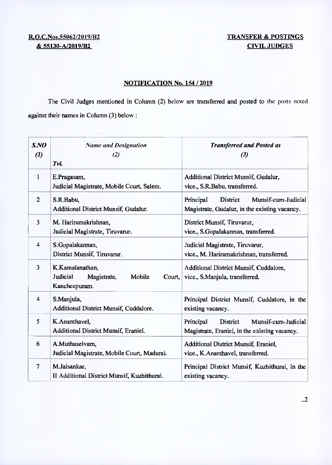## R.O.C.Nos.55062/2019/B2 TRANSFER & POSTINGS <u>& 55130-A/2019/B2</u> CIVIL JUDGES

## NOTIFICATION No. 154 / 2019

The Civil Judges mentioned in Column (2) below are transferred and posted to the posts noted against their names in Column (3) below:

| SNO<br>$\left( l\right)$ | <b>Name and Designation</b><br>(2)<br>Tvl.                                      | <b>Transferred and Posted as</b><br>$\left(3\right)$                                          |
|--------------------------|---------------------------------------------------------------------------------|-----------------------------------------------------------------------------------------------|
| 1                        | E.Pragasam,<br>Judicial Magistrate, Mobile Court, Salem.                        | Additional District Munsif, Gudalur,<br>vice., S.R.Babu, transferred.                         |
| $\overline{2}$           | S.R.Babu,<br>Additional District Munsif, Gudalur.                               | Munsif-cum-Judicial<br>Principal<br>District<br>Magistrate, Gudalur, in the existing vacancy. |
| 3                        | M. Hariramakrishnan,<br>Judicial Magistrate, Tiruvarur.                         | District Munsif, Tiruvarur,<br>vice., S.Gopalakannan, transferred.                            |
| $\overline{\mathbf{4}}$  | S.Gopalakannan,<br>District Munsif, Tiruvarur.                                  | Judicial Magistrate, Tiruvarur,<br>vice., M. Hariramakrishnan, transferred.                   |
| 3                        | K.Kamalanathan,<br>Judicial<br>Magistrate,<br>Mobile<br>Court,<br>Kancheepuram. | Additional District Munsif, Cuddalore,<br>vice., S.Manjula, transferred.                      |
| 4                        | S.Manjula,<br>Additional District Munsif, Cuddalore.                            | Principal District Munsif, Cuddalore, in the<br>existing vacancy.                             |
| 5                        | K.Ananthavel,<br>Additional District Munsif, Eraniel.                           | Munsif-cum-Judicial<br>Principal<br>District<br>Magistrate, Eraniel, in the existing vacancy. |
| 6                        | A.Muthuselvam,<br>Judicial Magistrate, Mobile Court, Madurai.                   | Additional District Munsif, Eraniel,<br>vice., K.Ananthavel, transferred.                     |
| $\overline{7}$           | M.Jaisankar,<br>II Additional District Munsif, Kuzhithurai.                     | Principal District Munsif, Kuzhithurai, in the<br>existing vacancy.                           |